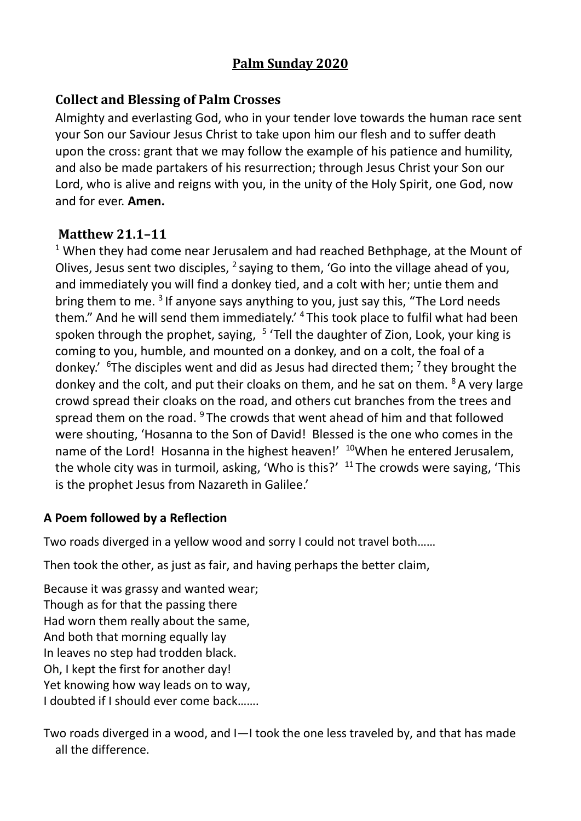## **Palm Sunday 2020**

## **Collect and Blessing of Palm Crosses**

Almighty and everlasting God, who in your tender love towards the human race sent your Son our Saviour Jesus Christ to take upon him our flesh and to suffer death upon the cross: grant that we may follow the example of his patience and humility, and also be made partakers of his resurrection; through Jesus Christ your Son our Lord, who is alive and reigns with you, in the unity of the Holy Spirit, one God, now and for ever. **Amen.**

## **Matthew 21.1–11**

 $1$  When they had come near Jerusalem and had reached Bethphage, at the Mount of Olives, Jesus sent two disciples,  $^2$  saying to them, 'Go into the village ahead of you, and immediately you will find a donkey tied, and a colt with her; untie them and bring them to me.  $3$  If anyone says anything to you, just say this, "The Lord needs them." And he will send them immediately.' <sup>4</sup>This took place to fulfil what had been spoken through the prophet, saying, <sup>5</sup> 'Tell the daughter of Zion, Look, your king is coming to you, humble, and mounted on a donkey, and on a colt, the foal of a donkey.'  $6$ The disciples went and did as Jesus had directed them;  $7$  they brought the donkey and the colt, and put their cloaks on them, and he sat on them.  $8A$  very large crowd spread their cloaks on the road, and others cut branches from the trees and spread them on the road.  $9$ The crowds that went ahead of him and that followed were shouting, 'Hosanna to the Son of David! Blessed is the one who comes in the name of the Lord! Hosanna in the highest heaven!' <sup>10</sup>When he entered Jerusalem, the whole city was in turmoil, asking, 'Who is this?'  $11$ The crowds were saying, 'This is the prophet Jesus from Nazareth in Galilee.'

## **A Poem followed by a Reflection**

Two roads diverged in a yellow wood and sorry I could not travel both……

Then took the other, as just as fair, and having perhaps the better claim,

Because it was grassy and wanted wear; Though as for that the passing there Had worn them really about the same, And both that morning equally lay In leaves no step had trodden black. Oh, I kept the first for another day! Yet knowing how way leads on to way, I doubted if I should ever come back…….

Two roads diverged in a wood, and I—I took the one less traveled by, and that has made all the difference.